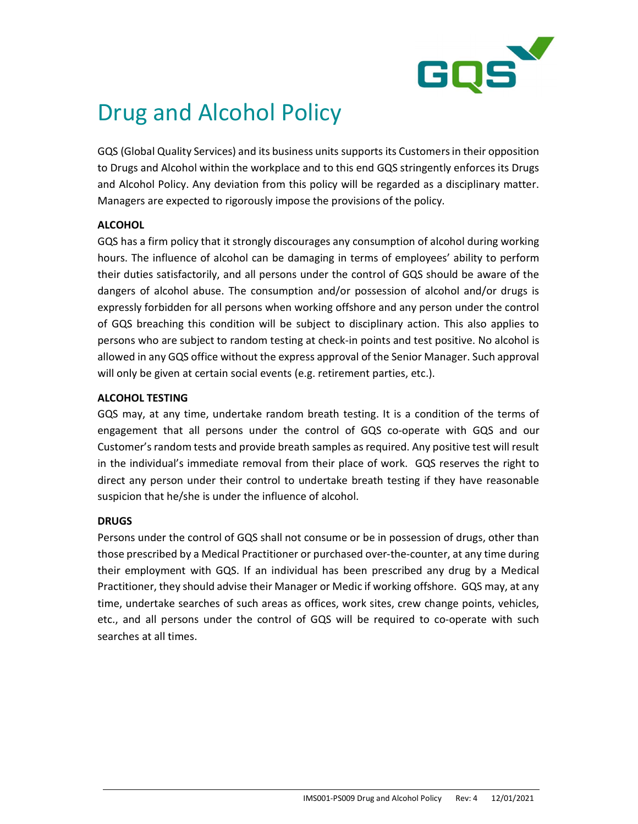

# Drug and Alcohol Policy

GQS (Global Quality Services) and its business units supports its Customers in their opposition to Drugs and Alcohol within the workplace and to this end GQS stringently enforces its Drugs and Alcohol Policy. Any deviation from this policy will be regarded as a disciplinary matter. Managers are expected to rigorously impose the provisions of the policy.

# **ALCOHOL**

GQS has a firm policy that it strongly discourages any consumption of alcohol during working hours. The influence of alcohol can be damaging in terms of employees' ability to perform their duties satisfactorily, and all persons under the control of GQS should be aware of the dangers of alcohol abuse. The consumption and/or possession of alcohol and/or drugs is expressly forbidden for all persons when working offshore and any person under the control of GQS breaching this condition will be subject to disciplinary action. This also applies to persons who are subject to random testing at check-in points and test positive. No alcohol is allowed in any GQS office without the express approval of the Senior Manager. Such approval will only be given at certain social events (e.g. retirement parties, etc.).

## ALCOHOL TESTING

GQS may, at any time, undertake random breath testing. It is a condition of the terms of engagement that all persons under the control of GQS co-operate with GQS and our Customer's random tests and provide breath samples as required. Any positive test will result in the individual's immediate removal from their place of work. GQS reserves the right to direct any person under their control to undertake breath testing if they have reasonable suspicion that he/she is under the influence of alcohol.

# **DRUGS**

Persons under the control of GQS shall not consume or be in possession of drugs, other than those prescribed by a Medical Practitioner or purchased over-the-counter, at any time during their employment with GQS. If an individual has been prescribed any drug by a Medical Practitioner, they should advise their Manager or Medic if working offshore. GQS may, at any time, undertake searches of such areas as offices, work sites, crew change points, vehicles, etc., and all persons under the control of GQS will be required to co-operate with such searches at all times.